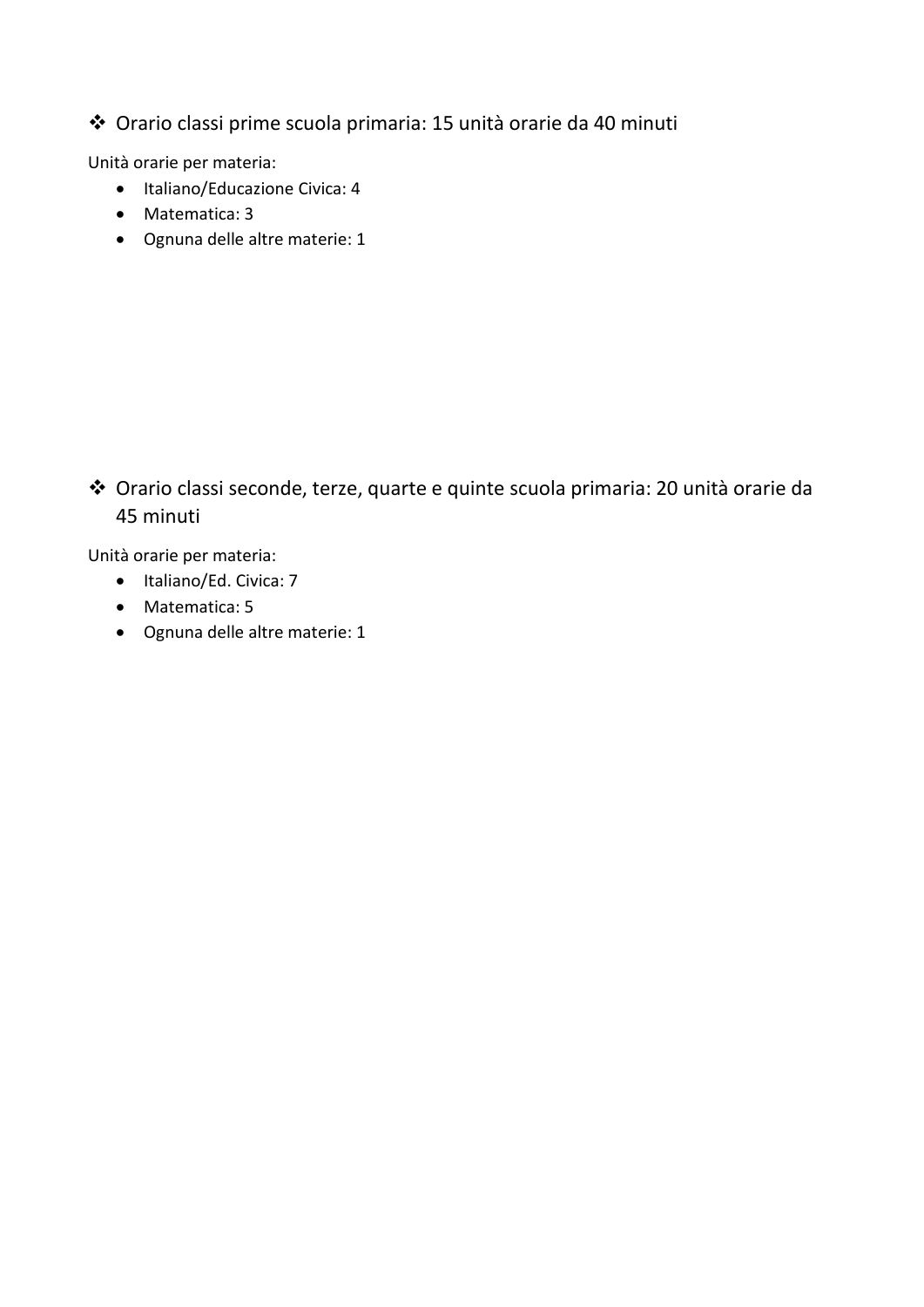❖ Orario classi prime scuola primaria: 15 unità orarie da 40 minuti

Unità orarie per materia:

- Italiano/Educazione Civica: 4
- Matematica: 3
- Ognuna delle altre materie: 1

❖ Orario classi seconde, terze, quarte e quinte scuola primaria: 20 unità orarie da 45 minuti

Unità orarie per materia:

- Italiano/Ed. Civica: 7
- Matematica: 5
- Ognuna delle altre materie: 1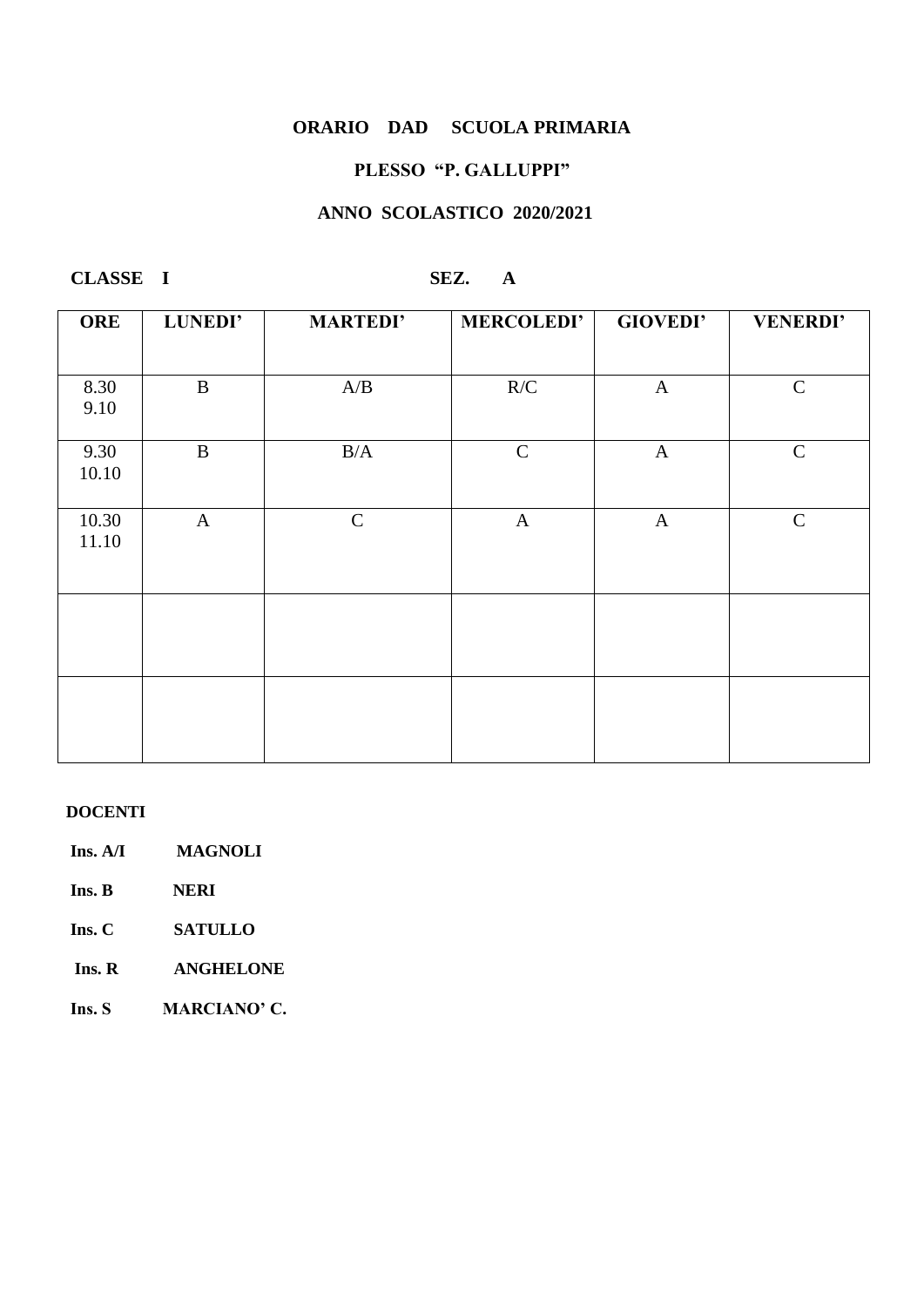# **ORARIO DAD SCUOLA PRIMARIA**

# **PLESSO "P. GALLUPPI"**

## **ANNO SCOLASTICO 2020/2021**

### CLASSE I SEZ. A

| <b>ORE</b>     | LUNEDI'      | <b>MARTEDI'</b> | <b>MERCOLEDI'</b>       | <b>GIOVEDI'</b> | <b>VENERDI'</b> |
|----------------|--------------|-----------------|-------------------------|-----------------|-----------------|
|                |              |                 |                         |                 |                 |
| 8.30<br>9.10   | $\, {\bf B}$ | A/B             | $\mathbb{R}/\mathbb{C}$ | $\mathbf{A}$    | $\mathbf C$     |
| 9.30<br>10.10  | $\bf{B}$     | B/A             | $\mathbf C$             | $\mathbf{A}$    | $\mathbf C$     |
| 10.30<br>11.10 | $\mathbf{A}$ | $\mathbf C$     | $\mathbf{A}$            | $\mathbf{A}$    | $\mathbf C$     |
|                |              |                 |                         |                 |                 |
|                |              |                 |                         |                 |                 |

- **Ins. A/I MAGNOLI**
- **Ins. B NERI**
- **Ins. C SATULLO**
- **Ins. R ANGHELONE**
- **Ins. S MARCIANO' C.**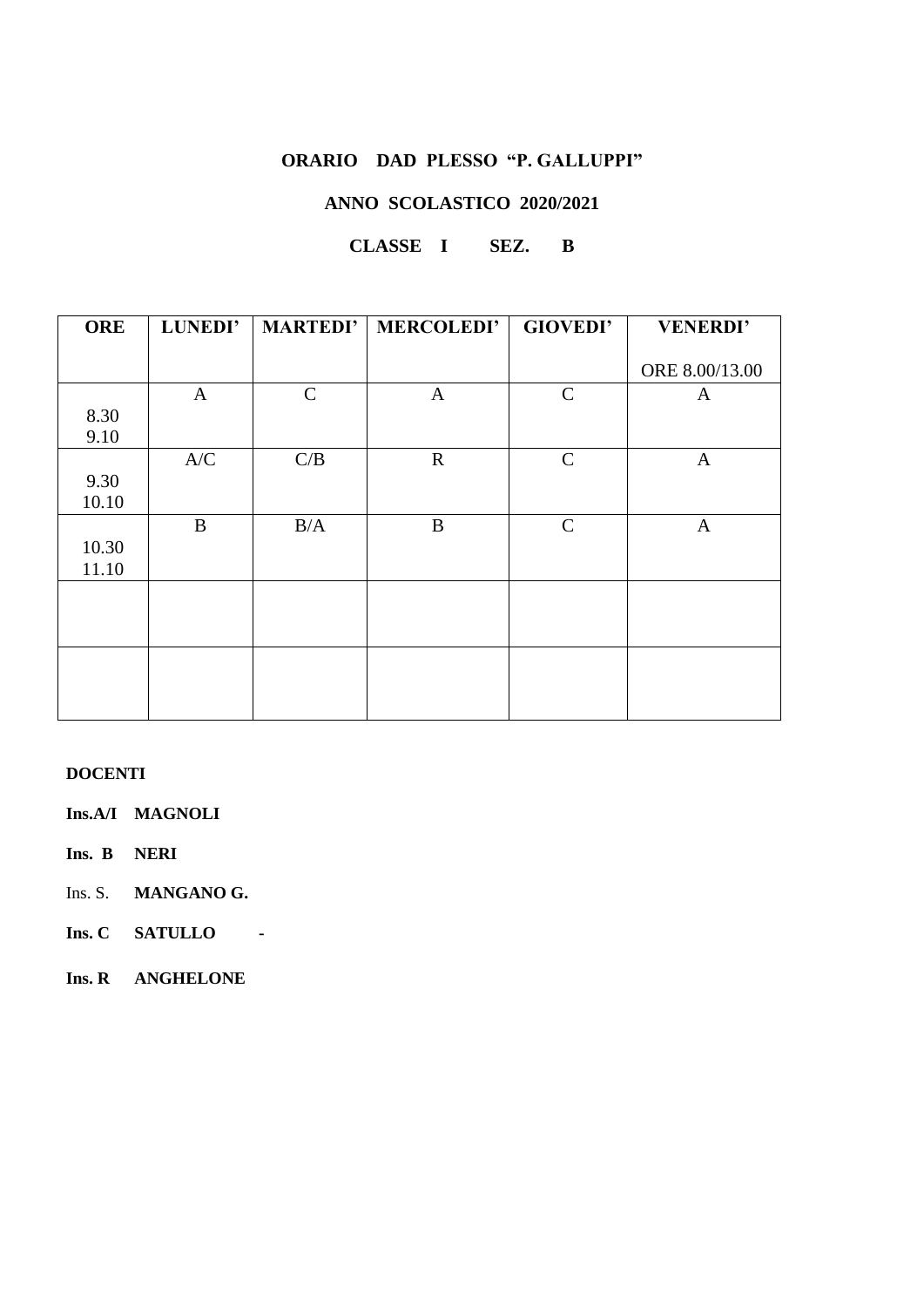# **ORARIO DAD PLESSO "P. GALLUPPI"**

## **ANNO SCOLASTICO 2020/2021**

### **CLASSE I SEZ. B**

| <b>ORE</b> | LUNEDI'      | <b>MARTEDI'</b> | <b>MERCOLEDI'</b> | <b>GIOVEDI'</b> | <b>VENERDI'</b> |
|------------|--------------|-----------------|-------------------|-----------------|-----------------|
|            |              |                 |                   |                 |                 |
|            |              |                 |                   |                 | ORE 8.00/13.00  |
|            | $\mathbf{A}$ | $\mathsf{C}$    | $\mathbf{A}$      | $\mathcal{C}$   | A               |
| 8.30       |              |                 |                   |                 |                 |
| 9.10       |              |                 |                   |                 |                 |
|            | A/C          | C/B             | $\mathbf R$       | $\mathcal{C}$   | $\mathbf{A}$    |
| 9.30       |              |                 |                   |                 |                 |
| 10.10      |              |                 |                   |                 |                 |
|            | $\bf{B}$     | B/A             | $\bf{B}$          | $\mathcal{C}$   | $\mathbf{A}$    |
| 10.30      |              |                 |                   |                 |                 |
| 11.10      |              |                 |                   |                 |                 |
|            |              |                 |                   |                 |                 |
|            |              |                 |                   |                 |                 |
|            |              |                 |                   |                 |                 |
|            |              |                 |                   |                 |                 |
|            |              |                 |                   |                 |                 |
|            |              |                 |                   |                 |                 |

- **Ins.A/I MAGNOLI**
- **Ins. B NERI**
- Ins. S. **MANGANO G.**
- **Ins. C SATULLO**
- **Ins. R ANGHELONE**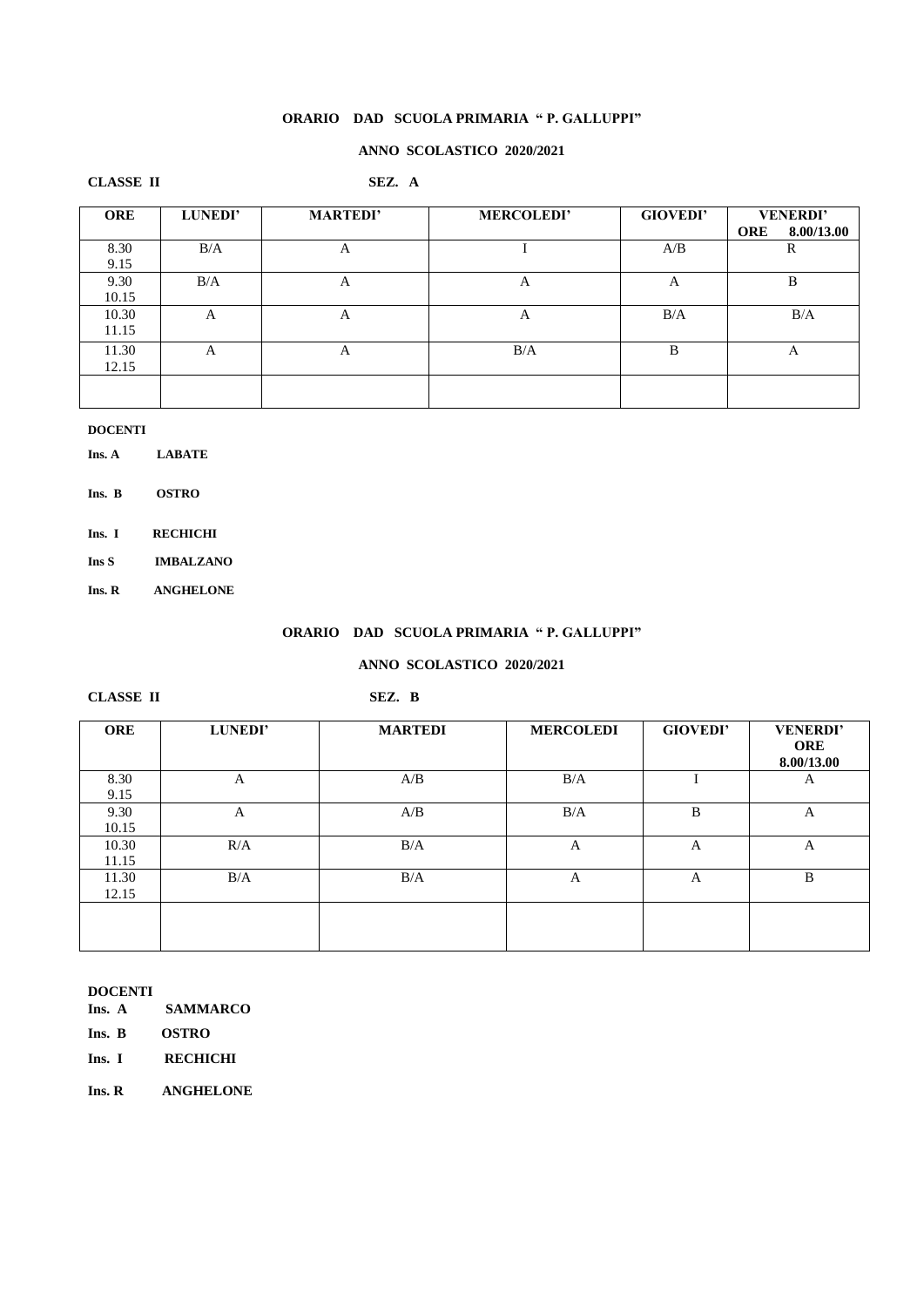#### **ANNO SCOLASTICO 2020/2021**

#### CLASSE II SEZ. A

| <b>ORE</b> | <b>LUNEDI'</b> | <b>MARTEDI'</b> | <b>MERCOLEDI'</b> | <b>GIOVEDI'</b> | <b>VENERDI'</b>   |
|------------|----------------|-----------------|-------------------|-----------------|-------------------|
|            |                |                 |                   |                 | 8.00/13.00<br>ORE |
| 8.30       | B/A            | A               |                   | A/B             | R                 |
| 9.15       |                |                 |                   |                 |                   |
| 9.30       | B/A            | A               | A                 | A               | B                 |
| 10.15      |                |                 |                   |                 |                   |
| 10.30      | A              | A               | A                 | B/A             | B/A               |
| 11.15      |                |                 |                   |                 |                   |
| 11.30      | A              | A               | B/A               | B               | A                 |
| 12.15      |                |                 |                   |                 |                   |
|            |                |                 |                   |                 |                   |
|            |                |                 |                   |                 |                   |

**DOCENTI**

**Ins. A LABATE** 

**Ins. B OSTRO** 

Ins. I RECHICHI

**Ins S IMBALZANO**

**Ins. R ANGHELONE** 

#### **ORARIO DAD SCUOLA PRIMARIA " P. GALLUPPI"**

#### **ANNO SCOLASTICO 2020/2021**

#### CLASSE II SEZ. B

| ORE            | <b>LUNEDI'</b> | <b>MARTEDI</b> | <b>MERCOLEDI</b> | <b>GIOVEDI'</b> | <b>VENERDI'</b><br>ORE<br>8.00/13.00 |
|----------------|----------------|----------------|------------------|-----------------|--------------------------------------|
| 8.30<br>9.15   | A              | A/B            | B/A              |                 | A                                    |
| 9.30<br>10.15  | A              | A/B            | B/A              | B               | A                                    |
| 10.30<br>11.15 | R/A            | B/A            | A                | A               | A                                    |
| 11.30<br>12.15 | B/A            | B/A            | A                | A               | B                                    |
|                |                |                |                  |                 |                                      |

#### **DOCENTI**

**Ins. A SAMMARCO** 

**Ins. B OSTRO** 

Ins. I RECHICHI

**Ins. R ANGHELONE**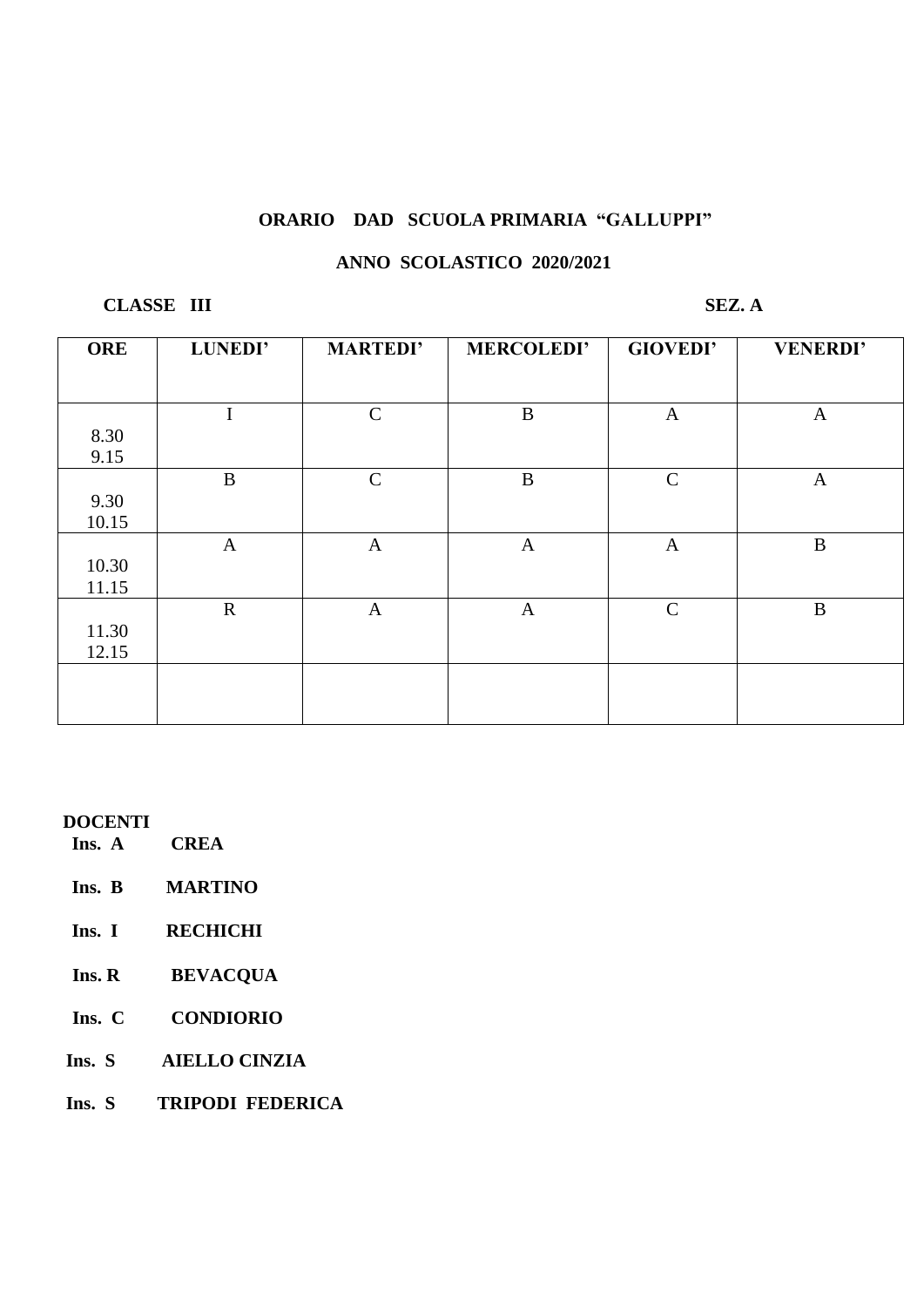## **ANNO SCOLASTICO 2020/2021**

# **CLASSE III** SEZ. A

| <b>ORE</b> | LUNEDI'      | <b>MARTEDI'</b> | <b>MERCOLEDI'</b> | <b>GIOVEDI'</b> | <b>VENERDI'</b> |
|------------|--------------|-----------------|-------------------|-----------------|-----------------|
|            |              |                 |                   |                 |                 |
|            | I            | $\mathbf C$     | $\, {\bf B}$      | $\mathbf{A}$    | $\mathbf{A}$    |
| 8.30       |              |                 |                   |                 |                 |
| 9.15       |              |                 |                   |                 |                 |
|            | $\bf{B}$     | $\mathbf C$     | $\bf{B}$          | $\mathbf C$     | $\mathbf{A}$    |
| 9.30       |              |                 |                   |                 |                 |
| 10.15      |              |                 |                   |                 |                 |
|            | $\mathbf{A}$ | $\mathbf{A}$    | $\mathbf{A}$      | $\mathbf{A}$    | $\, {\bf B}$    |
| 10.30      |              |                 |                   |                 |                 |
| 11.15      |              |                 |                   |                 |                 |
|            | $\mathbf R$  | $\mathbf{A}$    | $\mathbf{A}$      | $\mathbf C$     | $\bf{B}$        |
| 11.30      |              |                 |                   |                 |                 |
| 12.15      |              |                 |                   |                 |                 |
|            |              |                 |                   |                 |                 |
|            |              |                 |                   |                 |                 |
|            |              |                 |                   |                 |                 |

- **Ins. A CREA**
- **Ins. B MARTINO**
- **Ins. I RECHICHI**
- **Ins. R BEVACQUA**
- **Ins. C CONDIORIO**
- **Ins. S AIELLO CINZIA**
- **Ins. S TRIPODI FEDERICA**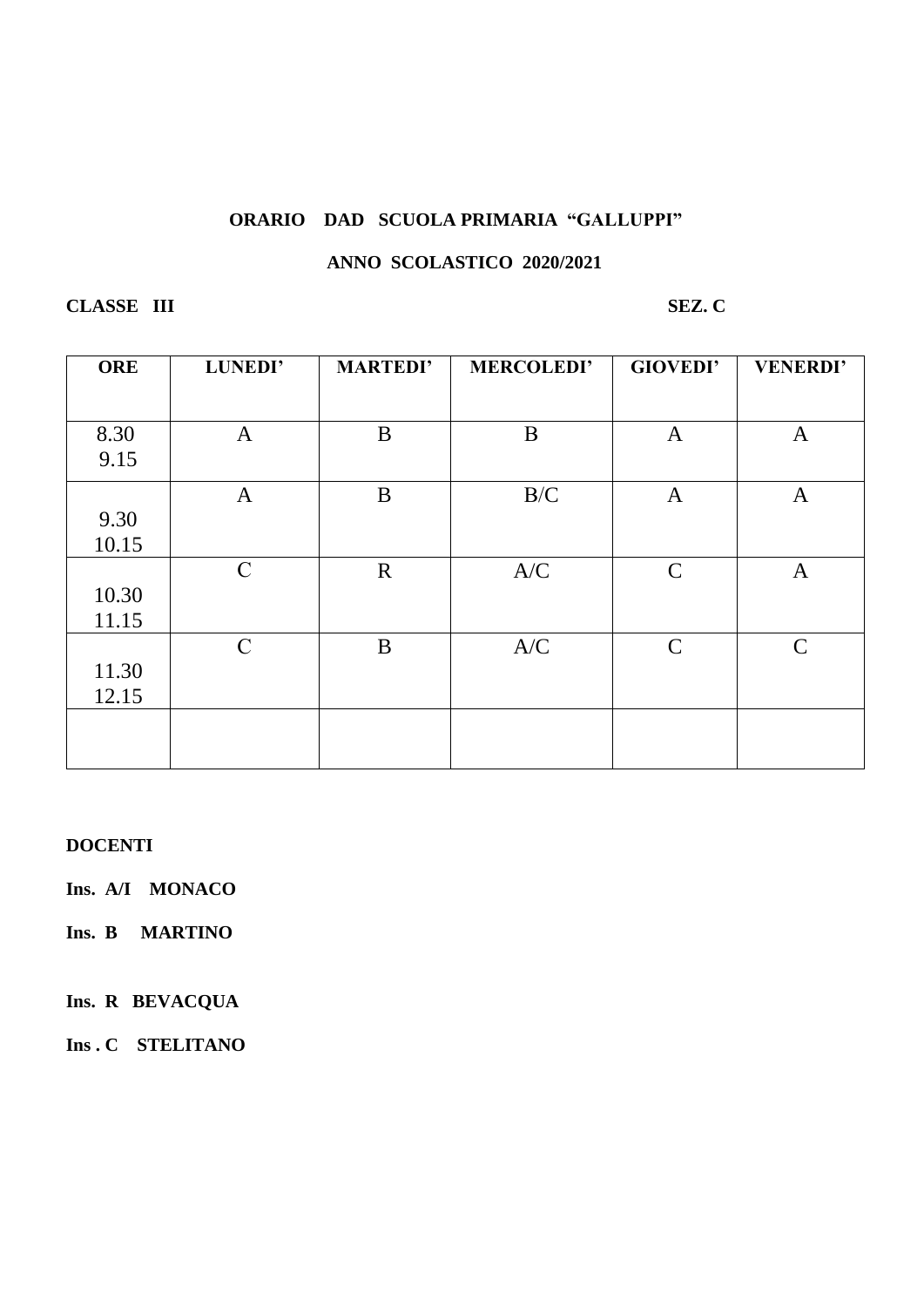# **ANNO SCOLASTICO 2020/2021**

# **CLASSE III** SEZ. C

| LUNEDI'       | <b>MARTEDI'</b> | <b>MERCOLEDI'</b> | <b>GIOVEDI'</b> | <b>VENERDI'</b> |
|---------------|-----------------|-------------------|-----------------|-----------------|
|               |                 |                   |                 |                 |
| $\mathbf{A}$  | B               | $\mathbf{B}$      | $\mathbf{A}$    | $\mathbf{A}$    |
|               |                 |                   |                 |                 |
| A             | B               | B/C               | $\mathbf{A}$    | A               |
|               |                 |                   |                 |                 |
|               |                 |                   |                 |                 |
| $\mathcal{C}$ | $\mathbf R$     | A/C               | $\mathbf C$     | $\mathbf{A}$    |
|               |                 |                   |                 |                 |
|               |                 |                   |                 |                 |
| $\mathcal{C}$ | B               | A/C               | $\mathsf{C}$    | $\mathcal{C}$   |
|               |                 |                   |                 |                 |
|               |                 |                   |                 |                 |
|               |                 |                   |                 |                 |
|               |                 |                   |                 |                 |
|               |                 |                   |                 |                 |

## **DOCENTI**

**Ins. A/I MONACO** 

**Ins. B MARTINO**

**Ins. R BEVACQUA**

**Ins . C STELITANO**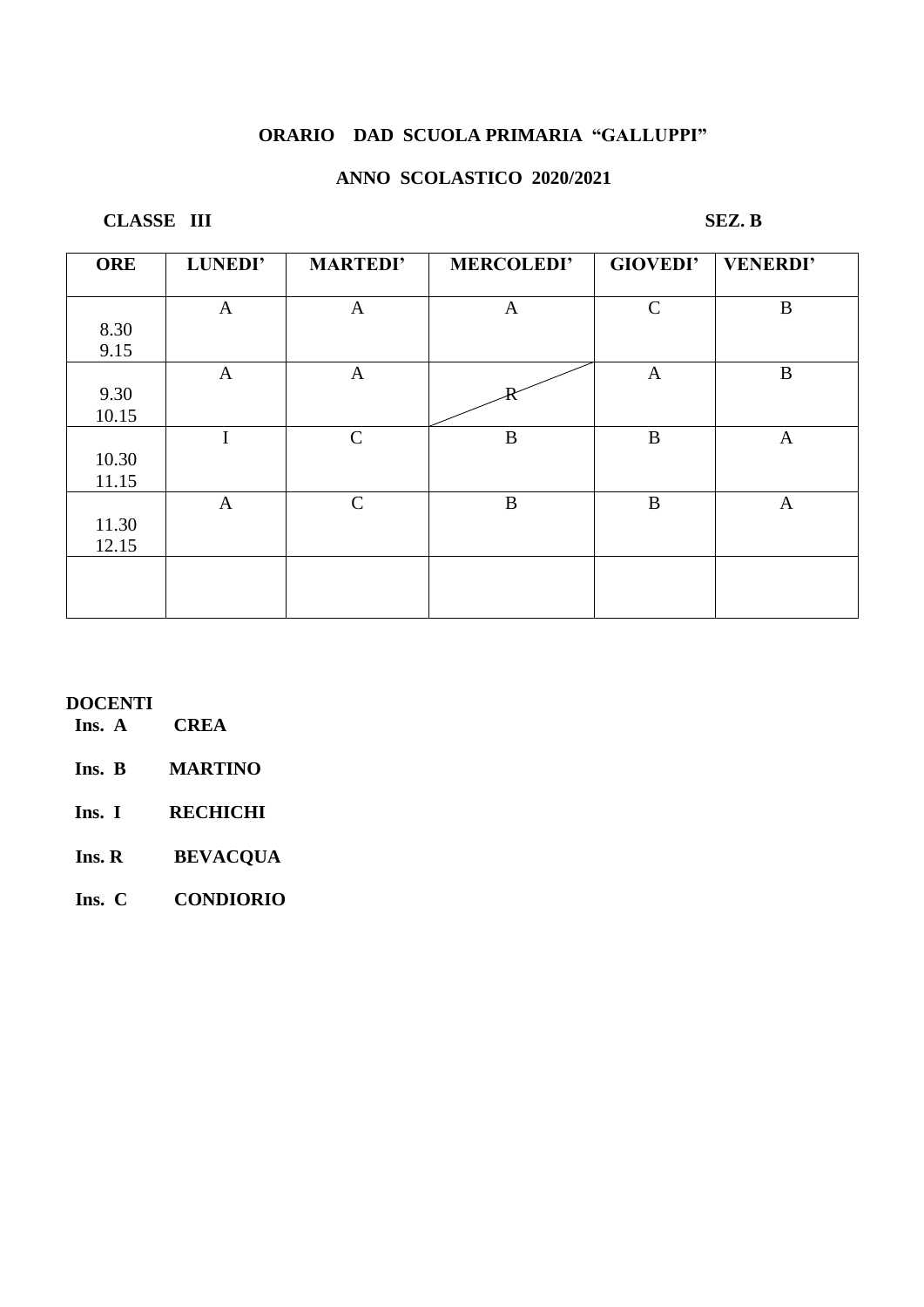## **ANNO SCOLASTICO 2020/2021**

### **CLASSE III** SEZ. B

| <b>ORE</b> | <b>LUNEDI'</b> | <b>MARTEDI'</b> | <b>MERCOLEDI'</b> | <b>GIOVEDI'</b> | <b>VENERDI'</b> |
|------------|----------------|-----------------|-------------------|-----------------|-----------------|
|            |                |                 |                   |                 |                 |
|            | $\mathbf{A}$   | $\mathbf{A}$    | $\mathbf{A}$      | $\mathbf C$     | $\, {\bf B}$    |
| 8.30       |                |                 |                   |                 |                 |
| 9.15       |                |                 |                   |                 |                 |
|            | $\mathbf{A}$   | $\mathbf{A}$    |                   | $\mathbf{A}$    | $\bf{B}$        |
| 9.30       |                |                 |                   |                 |                 |
| 10.15      |                |                 |                   |                 |                 |
|            | I              | $\mathcal{C}$   | $\bf{B}$          | $\bf{B}$        | $\mathbf{A}$    |
| 10.30      |                |                 |                   |                 |                 |
| 11.15      |                |                 |                   |                 |                 |
|            | $\mathbf{A}$   | $\mathsf{C}$    | $\bf{B}$          | $\bf{B}$        | $\mathbf{A}$    |
| 11.30      |                |                 |                   |                 |                 |
| 12.15      |                |                 |                   |                 |                 |
|            |                |                 |                   |                 |                 |
|            |                |                 |                   |                 |                 |
|            |                |                 |                   |                 |                 |

### **DOCENTI**

**Ins. A CREA** 

**Ins. B MARTINO**

**Ins. I RECHICHI** 

 **Ins. R BEVACQUA**

 **Ins. C CONDIORIO**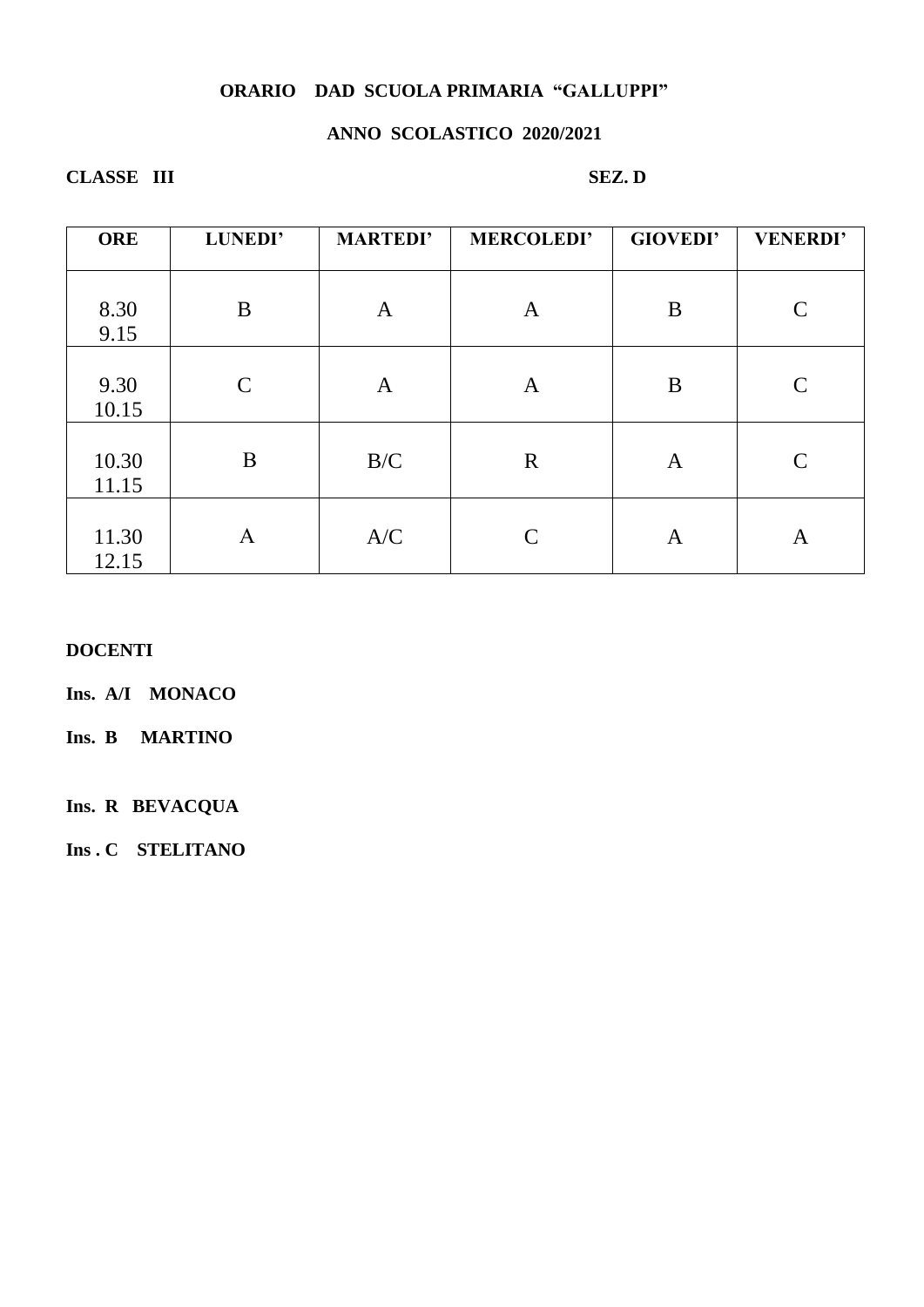## **ANNO SCOLASTICO 2020/2021**

## **CLASSE III** SEZ. D

| <b>ORE</b>     | <b>LUNEDI'</b> | <b>MARTEDI'</b> | <b>MERCOLEDI'</b> | <b>GIOVEDI'</b> | <b>VENERDI'</b> |
|----------------|----------------|-----------------|-------------------|-----------------|-----------------|
| 8.30<br>9.15   | B              | A               | A                 | B               | $\mathcal{C}$   |
| 9.30<br>10.15  | $\mathcal{C}$  | A               | A                 | B               | $\mathcal{C}$   |
| 10.30<br>11.15 | B              | B/C             | $\mathbf R$       | A               | $\mathcal{C}$   |
| 11.30<br>12.15 | A              | A/C             | $\mathcal{C}$     | A               | $\mathbf{A}$    |

#### **DOCENTI**

**Ins. A/I MONACO** 

**Ins. B MARTINO**

**Ins. R BEVACQUA**

**Ins . C STELITANO**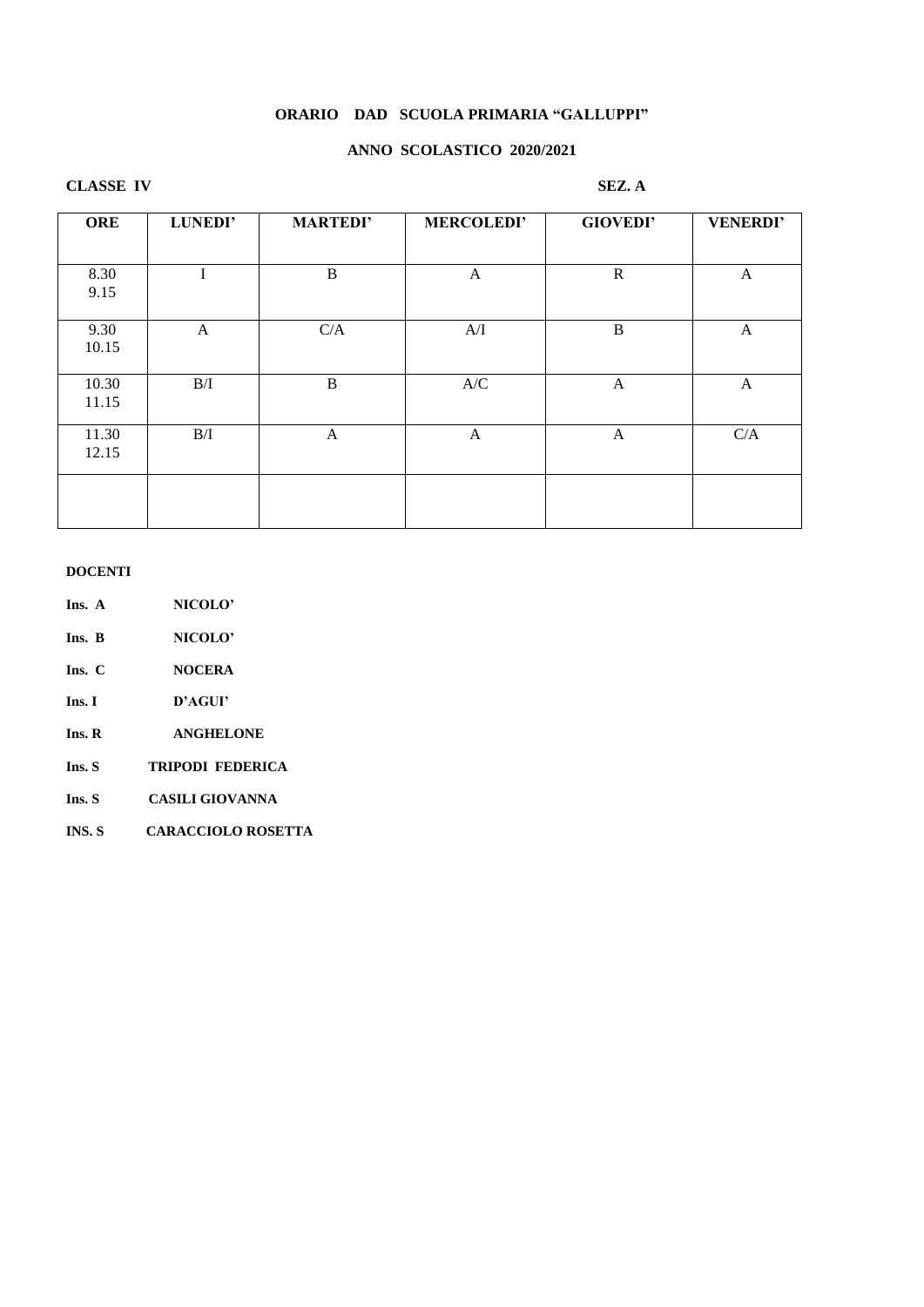### **ANNO SCOLASTICO 2020/2021**

### **CLASSE IV SEZ. A**

| <b>ORE</b> | LUNEDI' | <b>MARTEDI'</b> | <b>MERCOLEDI'</b> | <b>GIOVEDI'</b> | <b>VENERDI'</b> |
|------------|---------|-----------------|-------------------|-----------------|-----------------|
|            |         |                 |                   |                 |                 |
| 8.30       | I       | B               | A                 | $\mathbb{R}$    | A               |
| 9.15       |         |                 |                   |                 |                 |
| 9.30       | A       | C/A             | A/I               | $\bf{B}$        | $\mathbf{A}$    |
| 10.15      |         |                 |                   |                 |                 |
| 10.30      | B/I     | B               | A/C               | A               | $\mathbf{A}$    |
| 11.15      |         |                 |                   |                 |                 |
| 11.30      | B/I     | A               | $\mathbf{A}$      | $\mathbf{A}$    | C/A             |
| 12.15      |         |                 |                   |                 |                 |
|            |         |                 |                   |                 |                 |
|            |         |                 |                   |                 |                 |

- **Ins. A NICOLO'**
- **Ins. B NICOLO'**
- **Ins. C NOCERA**
- **Ins. I D'AGUI'**
- **Ins. R ANGHELONE**
- **Ins. S TRIPODI FEDERICA**
- Ins. S **CASILI GIOVANNA**
- **INS. S CARACCIOLO ROSETTA**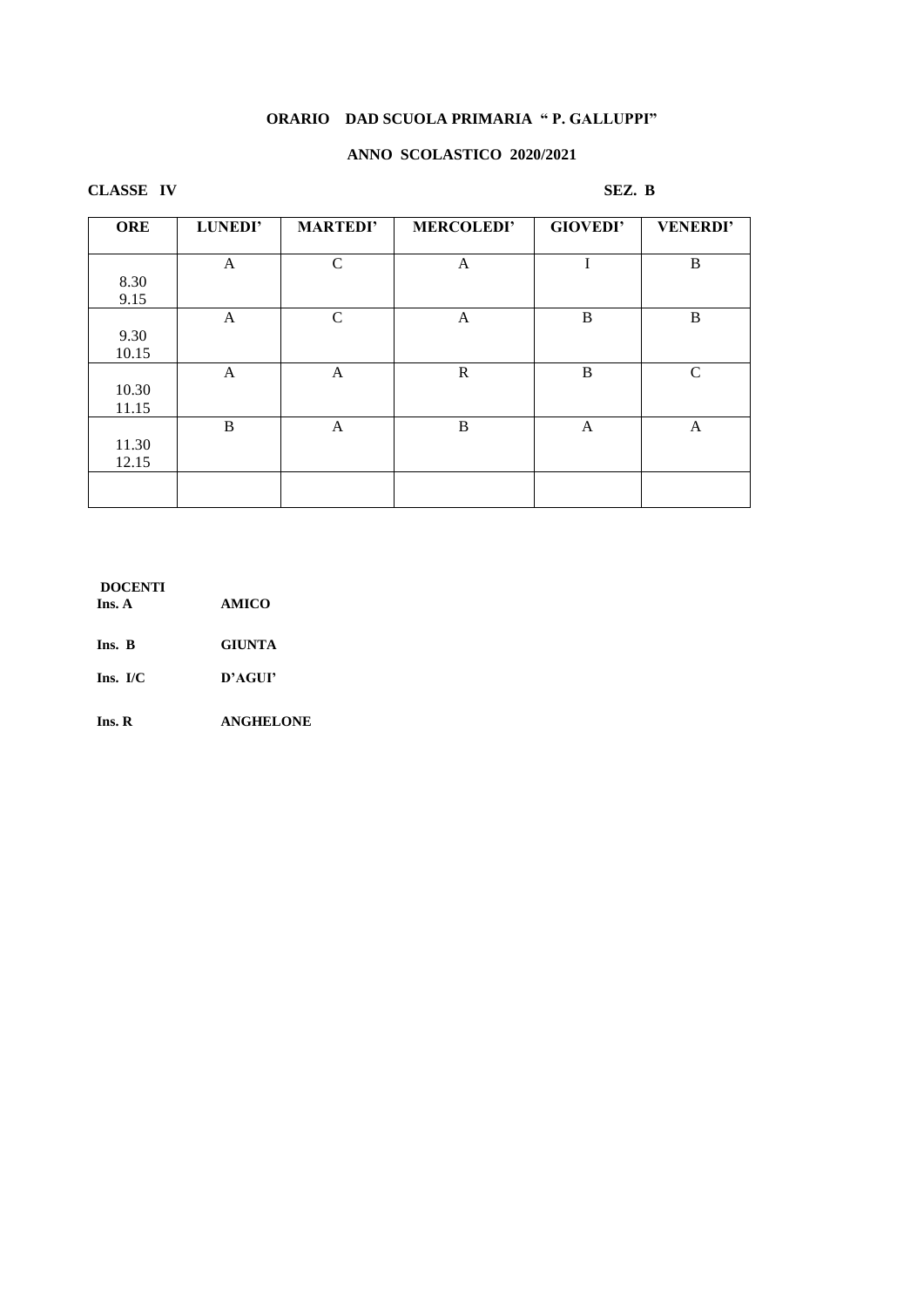## **ANNO SCOLASTICO 2020/2021**

#### **CLASSE IV SEZ. B**

| <b>ORE</b> | LUNEDI'      | <b>MARTEDI'</b> | <b>MERCOLEDI'</b> | <b>GIOVEDI'</b> | <b>VENERDI'</b> |
|------------|--------------|-----------------|-------------------|-----------------|-----------------|
|            | $\mathbf{A}$ | $\mathbf C$     | A                 | I               | B               |
| 8.30       |              |                 |                   |                 |                 |
| 9.15       |              |                 |                   |                 |                 |
|            | A            | $\mathcal{C}$   | A                 | B               | B               |
| 9.30       |              |                 |                   |                 |                 |
| 10.15      |              |                 |                   |                 |                 |
|            | $\mathbf{A}$ | A               | $\mathbf R$       | B               | $\mathcal{C}$   |
| 10.30      |              |                 |                   |                 |                 |
| 11.15      |              |                 |                   |                 |                 |
|            | B            | A               | B                 | A               | A               |
| 11.30      |              |                 |                   |                 |                 |
| 12.15      |              |                 |                   |                 |                 |
|            |              |                 |                   |                 |                 |
|            |              |                 |                   |                 |                 |

#### **DOCENTI**

**Ins. A AMICO** 

**Ins. B GIUNTA** 

**Ins. I/C D'AGUI'**

**Ins. R ANGHELONE**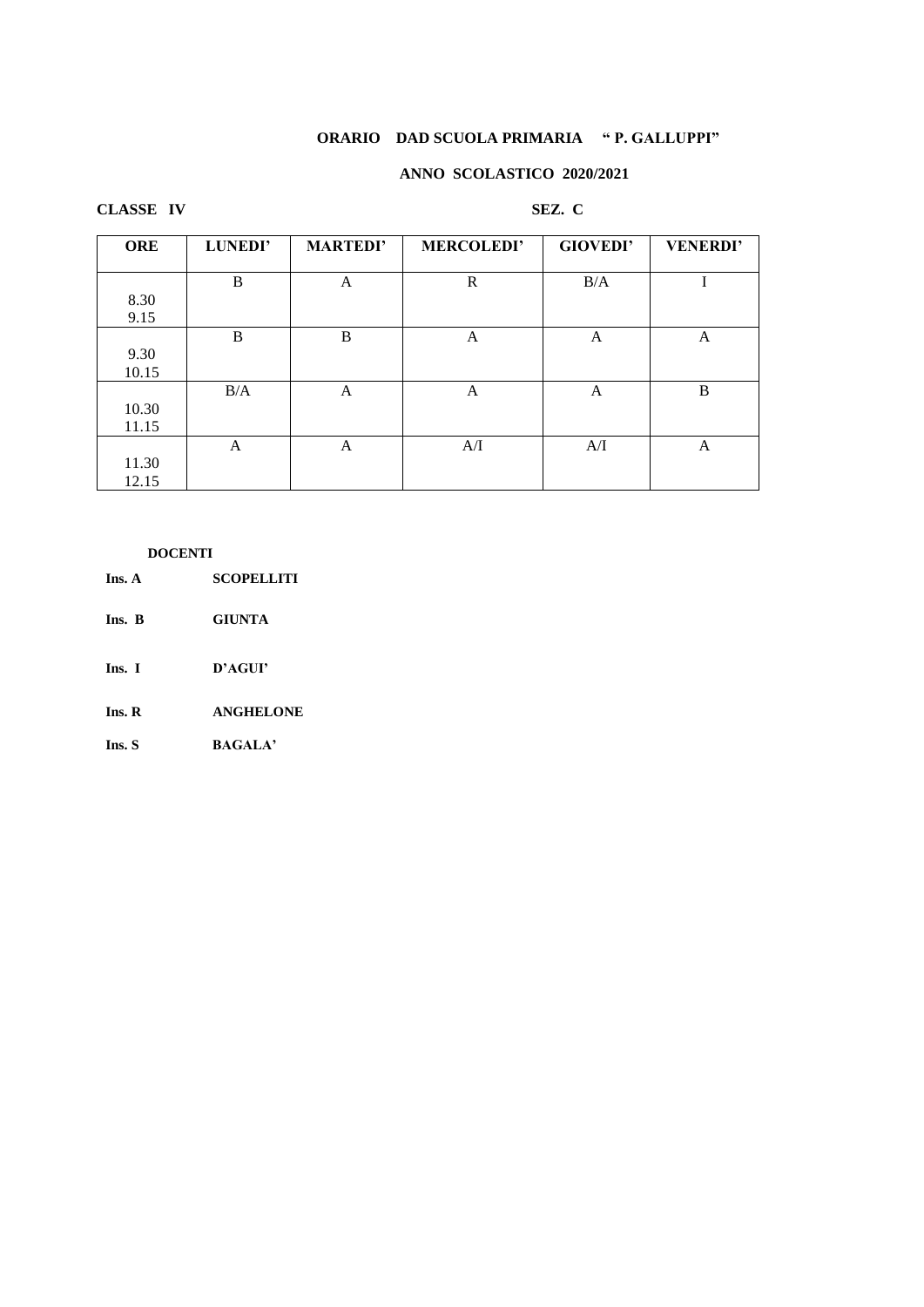#### **ANNO SCOLASTICO 2020/2021**

#### **CLASSE IV** SEZ. C

| <b>ORE</b> | LUNEDI' | <b>MARTEDI'</b> | <b>MERCOLEDI'</b> | <b>GIOVEDI'</b> | <b>VENERDI'</b> |
|------------|---------|-----------------|-------------------|-----------------|-----------------|
|            |         |                 |                   |                 |                 |
|            | B       | A               | $\mathbb{R}$      | B/A             |                 |
| 8.30       |         |                 |                   |                 |                 |
| 9.15       |         |                 |                   |                 |                 |
|            | B       | B               | A                 | A               | A               |
| 9.30       |         |                 |                   |                 |                 |
| 10.15      |         |                 |                   |                 |                 |
|            | B/A     | A               | A                 | A               | B               |
| 10.30      |         |                 |                   |                 |                 |
| 11.15      |         |                 |                   |                 |                 |
|            | A       | A               | A/I               | A/I             | A               |
| 11.30      |         |                 |                   |                 |                 |
| 12.15      |         |                 |                   |                 |                 |

### **DOCENTI**

**Ins. B GIUNTA** 

**Ins. I D'AGUI'**

**Ins. R ANGHELONE** 

**Ins. S BAGALA'**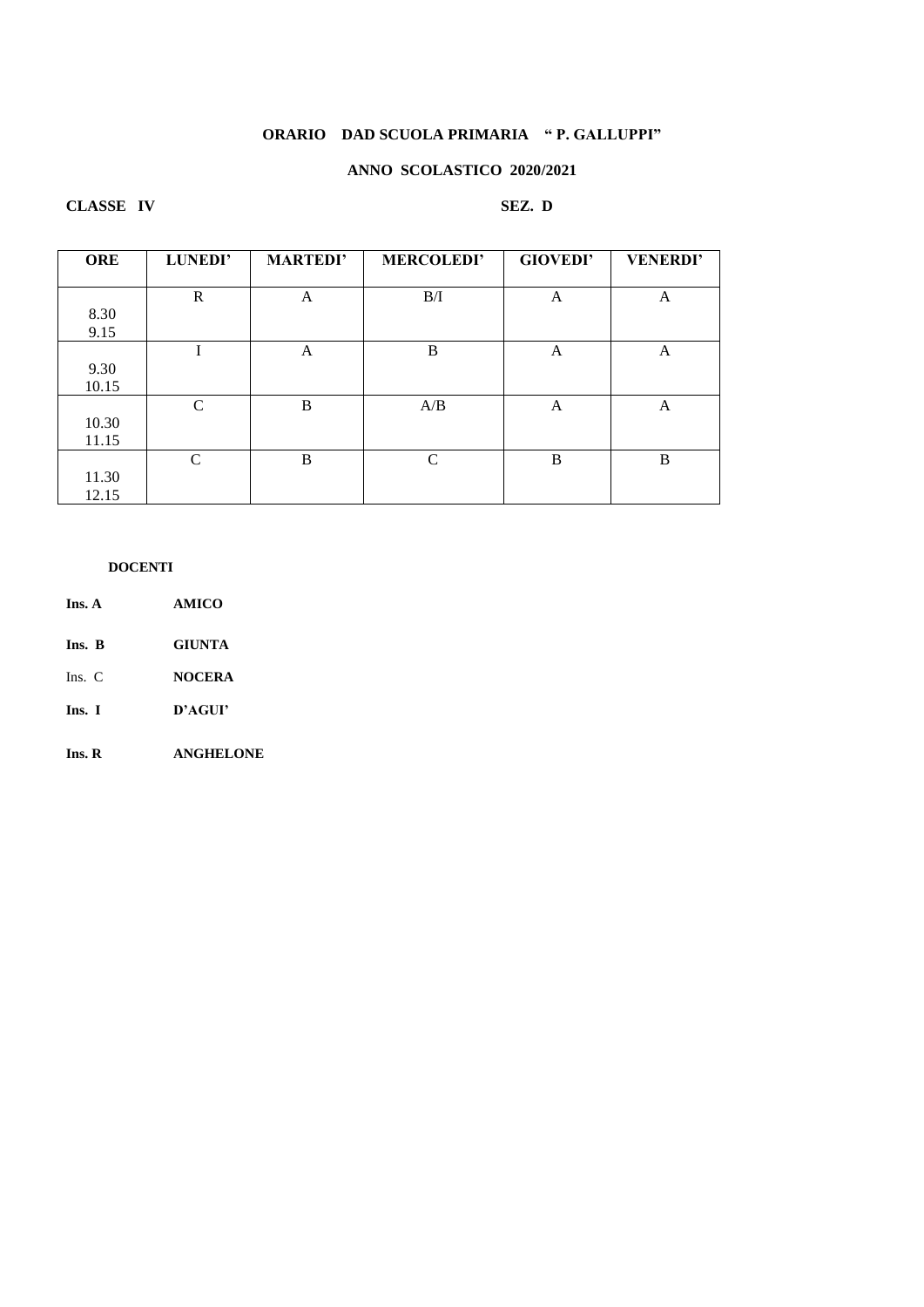#### **ANNO SCOLASTICO 2020/2021**

#### **CLASSE IV** SEZ. D

| <b>ORE</b> | <b>LUNEDI'</b> | <b>MARTEDI'</b> | <b>MERCOLEDI'</b> | <b>GIOVEDI'</b> | <b>VENERDI'</b> |
|------------|----------------|-----------------|-------------------|-----------------|-----------------|
|            |                |                 |                   |                 |                 |
|            | $\mathbb{R}$   | A               | B/I               | A               | A               |
| 8.30       |                |                 |                   |                 |                 |
| 9.15       |                |                 |                   |                 |                 |
|            | T              | A               | B                 | A               | A               |
| 9.30       |                |                 |                   |                 |                 |
| 10.15      |                |                 |                   |                 |                 |
|            | $\mathcal{C}$  | B               | A/B               | A               | A               |
| 10.30      |                |                 |                   |                 |                 |
| 11.15      |                |                 |                   |                 |                 |
|            | $\mathcal{C}$  | B               | $\mathcal{C}$     | B               | B               |
| 11.30      |                |                 |                   |                 |                 |
| 12.15      |                |                 |                   |                 |                 |

- **Ins. A AMICO**
- **Ins. B GIUNTA**
- Ins. C **NOCERA**
- **Ins. I D'AGUI'**
- **Ins. R ANGHELONE**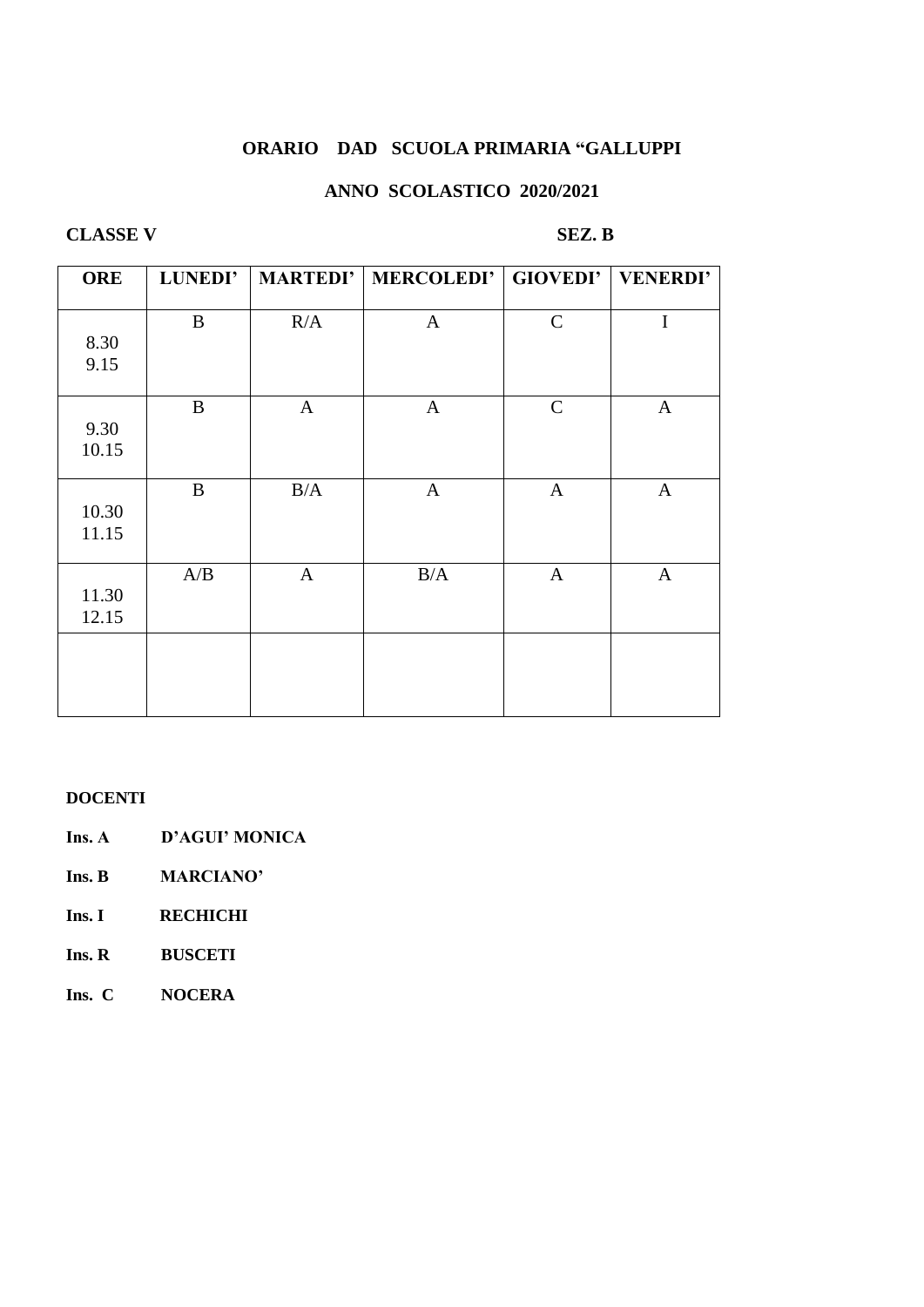## **ANNO SCOLASTICO 2020/2021**

## **CLASSE V** SEZ. **B**

| <b>ORE</b>     | LUNEDI'  |              | MARTEDI'   MERCOLEDI'   GIOVEDI'   VENERDI' |              |              |
|----------------|----------|--------------|---------------------------------------------|--------------|--------------|
| 8.30<br>9.15   | $\bf{B}$ | R/A          | $\mathbf{A}$                                | $\mathbf C$  | I            |
| 9.30<br>10.15  | $\bf{B}$ | $\mathbf{A}$ | $\mathbf{A}$                                | $\mathbf C$  | $\mathbf{A}$ |
| 10.30<br>11.15 | $\bf{B}$ | B/A          | $\mathbf{A}$                                | $\mathbf{A}$ | $\mathbf{A}$ |
| 11.30<br>12.15 | A/B      | $\mathbf{A}$ | B/A                                         | $\mathbf{A}$ | $\mathbf{A}$ |
|                |          |              |                                             |              |              |

- **Ins. A D'AGUI' MONICA**
- **Ins. B MARCIANO'**
- **Ins. I RECHICHI**
- **Ins. R BUSCETI**
- **Ins. C NOCERA**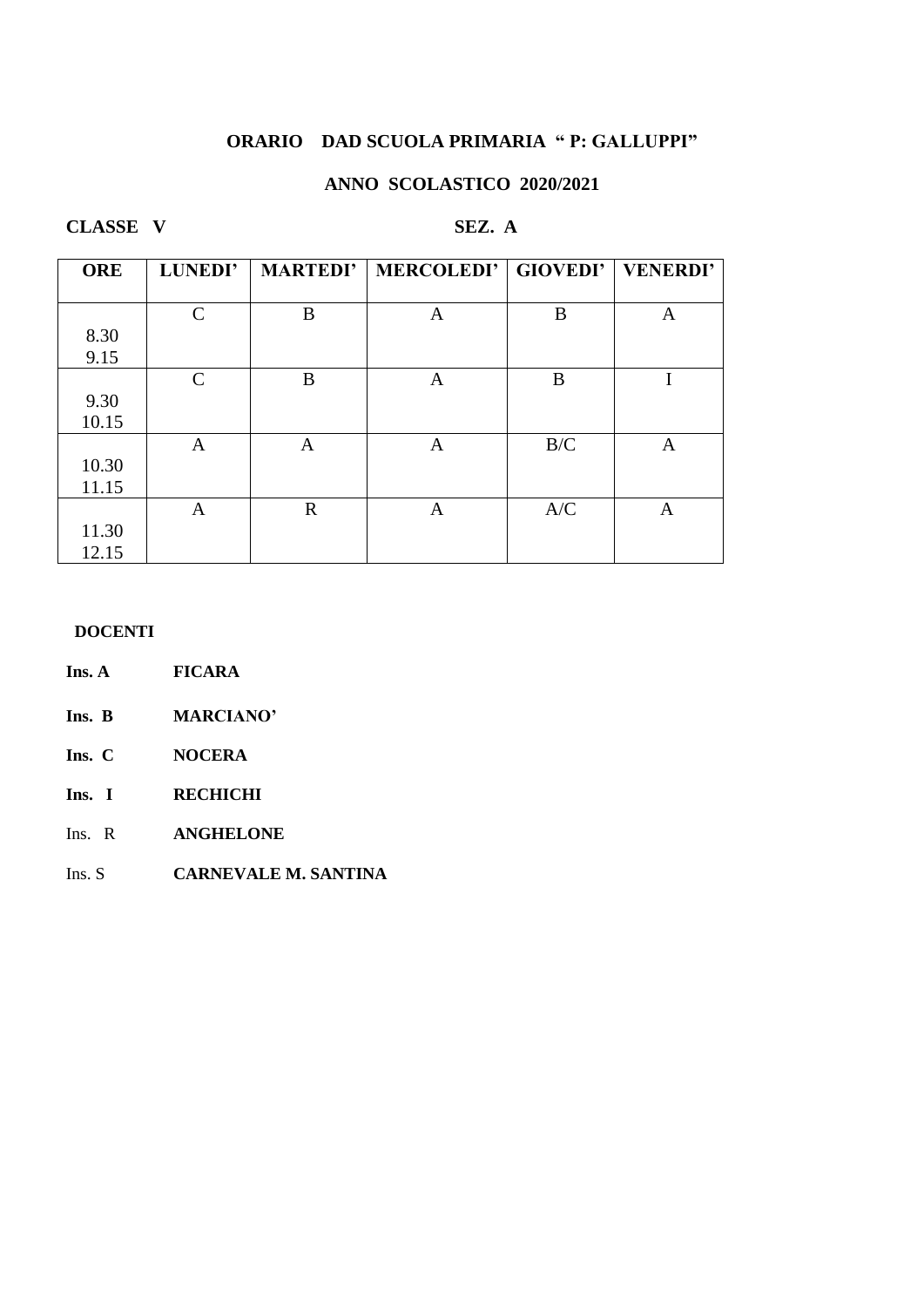## **ANNO SCOLASTICO 2020/2021**

**CLASSE V** SEZ. A

| <b>ORE</b> | <b>LUNEDI'</b> | <b>MARTEDI'</b> | <b>MERCOLEDI'</b> | <b>GIOVEDI'</b> | <b>VENERDI'</b> |
|------------|----------------|-----------------|-------------------|-----------------|-----------------|
|            |                |                 |                   |                 |                 |
|            | $\mathcal{C}$  | B               | $\mathbf{A}$      | B               | $\mathbf{A}$    |
| 8.30       |                |                 |                   |                 |                 |
| 9.15       |                |                 |                   |                 |                 |
|            | $\mathcal{C}$  | B               | A                 | B               | I               |
| 9.30       |                |                 |                   |                 |                 |
| 10.15      |                |                 |                   |                 |                 |
|            | A              | A               | A                 | B/C             | $\mathbf{A}$    |
| 10.30      |                |                 |                   |                 |                 |
| 11.15      |                |                 |                   |                 |                 |
|            | A              | $\mathbf R$     | A                 | A/C             | A               |
| 11.30      |                |                 |                   |                 |                 |
| 12.15      |                |                 |                   |                 |                 |

- **Ins. A FICARA**
- **Ins. B MARCIANO'**
- **Ins. C NOCERA**
- **Ins. I RECHICHI**
- Ins. R **ANGHELONE**
- Ins. S **CARNEVALE M. SANTINA**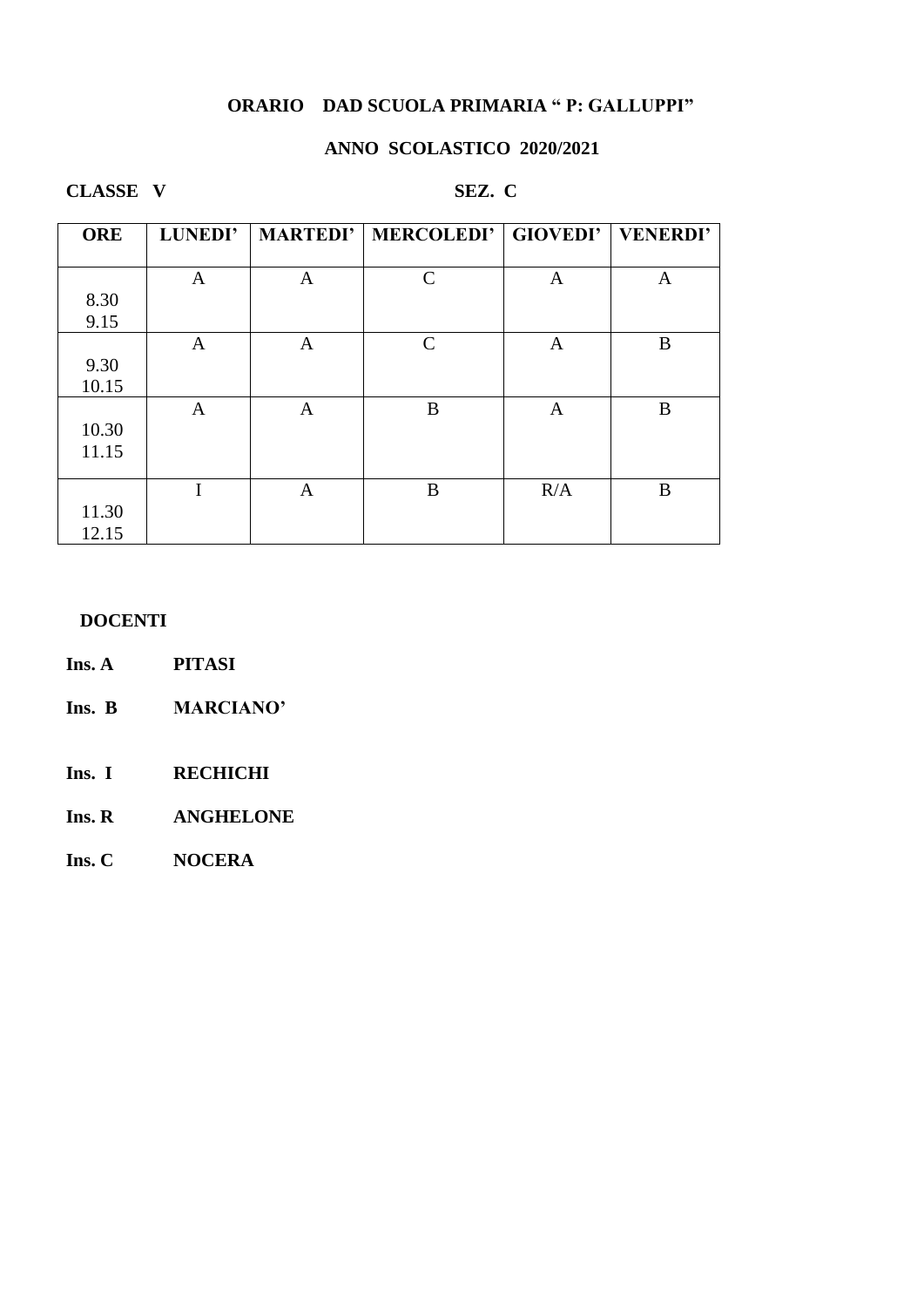# **ANNO SCOLASTICO 2020/2021**

## CLASSE V SEZ. C

| <b>ORE</b> | <b>LUNEDI'</b> |              | <b>MARTEDI'   MERCOLEDI'  </b> |              | <b>GIOVEDI' VENERDI'</b> |
|------------|----------------|--------------|--------------------------------|--------------|--------------------------|
|            |                |              |                                |              |                          |
|            | A              | A            | $\mathsf{C}$                   | A            | A                        |
| 8.30       |                |              |                                |              |                          |
| 9.15       |                |              |                                |              |                          |
|            | $\mathbf{A}$   | $\mathbf{A}$ | $\mathsf{C}$                   | $\mathbf{A}$ | B                        |
| 9.30       |                |              |                                |              |                          |
| 10.15      |                |              |                                |              |                          |
|            | $\mathbf{A}$   | $\mathbf{A}$ | B                              | $\mathbf{A}$ | B                        |
| 10.30      |                |              |                                |              |                          |
| 11.15      |                |              |                                |              |                          |
|            |                |              |                                |              |                          |
|            | I              | $\mathbf{A}$ | B                              | R/A          | B                        |
| 11.30      |                |              |                                |              |                          |
| 12.15      |                |              |                                |              |                          |

- **Ins. A PITASI**
- **Ins. B MARCIANO'**
- **Ins. I RECHICHI**
- **Ins. R ANGHELONE**
- **Ins. C NOCERA**